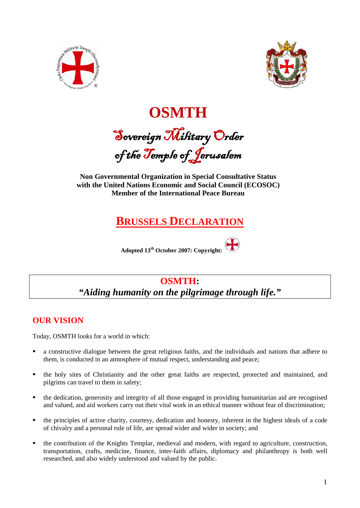



**OSMTH**  Sovereign Military Order of the Temple of Jerusalem

**Non Governmental Organization in Special Consultative Status with the United Nations Economic and Social Council (ECOSOC) Member of the International Peace Bureau**

# **BRUSSELS DECLARATION**



# **OSMTH:** *"Aiding humanity on the pilgrimage through life."*

## **OUR VISION**

Today, OSMTH looks for a world in which:

- a constructive dialogue between the great religious faiths, and the individuals and nations that adhere to them, is conducted in an atmosphere of mutual respect, understanding and peace;
- the holy sites of Christianity and the other great faiths are respected, protected and maintained, and pilgrims can travel to them in safety;
- the dedication, generosity and integrity of all those engaged in providing humanitarian aid are recognised and valued, and aid workers carry out their vital work in an ethical manner without fear of discrimination;
- the principles of active charity, courtesy, dedication and honesty, inherent in the highest ideals of a code of chivalry and a personal rule of life, are spread wider and wider in society; and
- the contribution of the Knights Templar, medieval and modern, with regard to agriculture, construction, transportation, crafts, medicine, finance, inter-faith affairs, diplomacy and philanthropy is both well researched, and also widely understood and valued by the public.